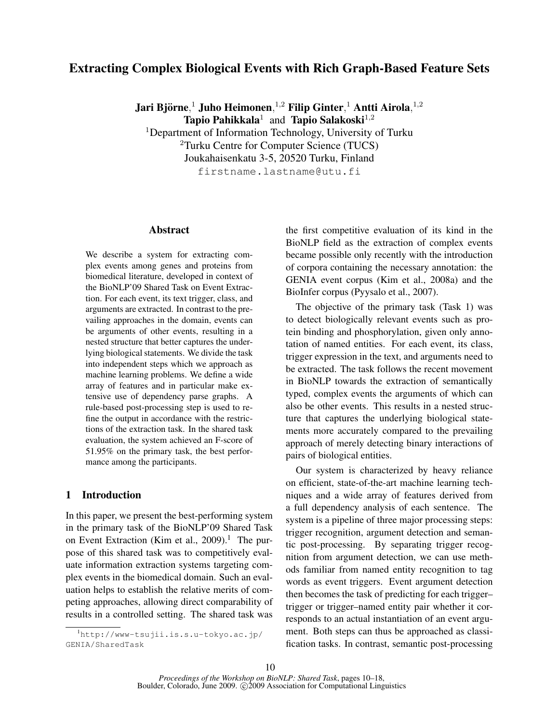# Extracting Complex Biological Events with Rich Graph-Based Feature Sets

Jari Björne, $^1$  Juho Heimonen, $^{1,2}$  Filip Ginter, $^1$  Antti Airola, $^{1,2}$ Tapio Pahikkala<sup>1</sup> and Tapio Salakoski<sup>1,2</sup>

<sup>1</sup>Department of Information Technology, University of Turku <sup>2</sup>Turku Centre for Computer Science (TUCS) Joukahaisenkatu 3-5, 20520 Turku, Finland firstname.lastname@utu.fi

#### Abstract

We describe a system for extracting complex events among genes and proteins from biomedical literature, developed in context of the BioNLP'09 Shared Task on Event Extraction. For each event, its text trigger, class, and arguments are extracted. In contrast to the prevailing approaches in the domain, events can be arguments of other events, resulting in a nested structure that better captures the underlying biological statements. We divide the task into independent steps which we approach as machine learning problems. We define a wide array of features and in particular make extensive use of dependency parse graphs. A rule-based post-processing step is used to refine the output in accordance with the restrictions of the extraction task. In the shared task evaluation, the system achieved an F-score of 51.95% on the primary task, the best performance among the participants.

## 1 Introduction

In this paper, we present the best-performing system in the primary task of the BioNLP'09 Shared Task on Event Extraction (Kim et al.,  $2009$ ).<sup>1</sup> The purpose of this shared task was to competitively evaluate information extraction systems targeting complex events in the biomedical domain. Such an evaluation helps to establish the relative merits of competing approaches, allowing direct comparability of results in a controlled setting. The shared task was

the first competitive evaluation of its kind in the BioNLP field as the extraction of complex events became possible only recently with the introduction of corpora containing the necessary annotation: the GENIA event corpus (Kim et al., 2008a) and the BioInfer corpus (Pyysalo et al., 2007).

The objective of the primary task (Task 1) was to detect biologically relevant events such as protein binding and phosphorylation, given only annotation of named entities. For each event, its class, trigger expression in the text, and arguments need to be extracted. The task follows the recent movement in BioNLP towards the extraction of semantically typed, complex events the arguments of which can also be other events. This results in a nested structure that captures the underlying biological statements more accurately compared to the prevailing approach of merely detecting binary interactions of pairs of biological entities.

Our system is characterized by heavy reliance on efficient, state-of-the-art machine learning techniques and a wide array of features derived from a full dependency analysis of each sentence. The system is a pipeline of three major processing steps: trigger recognition, argument detection and semantic post-processing. By separating trigger recognition from argument detection, we can use methods familiar from named entity recognition to tag words as event triggers. Event argument detection then becomes the task of predicting for each trigger– trigger or trigger–named entity pair whether it corresponds to an actual instantiation of an event argument. Both steps can thus be approached as classification tasks. In contrast, semantic post-processing

 $1$ http://www-tsujii.is.s.u-tokyo.ac.jp/ GENIA/SharedTask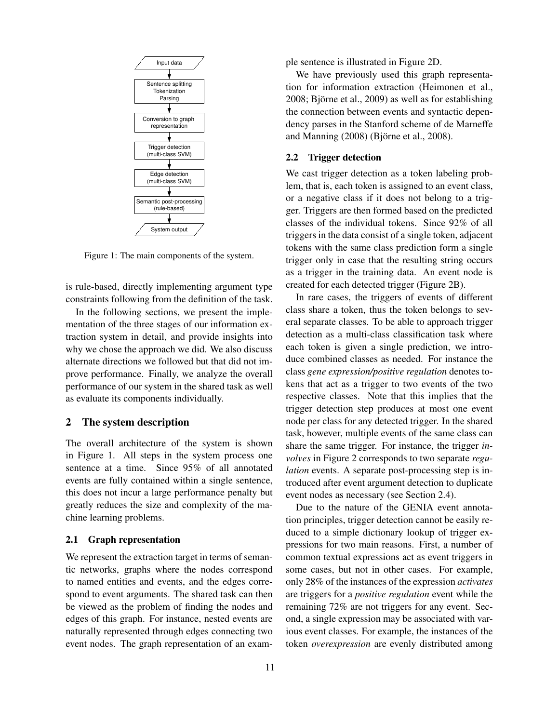

Figure 1: The main components of the system.

is rule-based, directly implementing argument type constraints following from the definition of the task.

In the following sections, we present the implementation of the three stages of our information extraction system in detail, and provide insights into why we chose the approach we did. We also discuss alternate directions we followed but that did not improve performance. Finally, we analyze the overall performance of our system in the shared task as well as evaluate its components individually.

#### 2 The system description

The overall architecture of the system is shown in Figure 1. All steps in the system process one sentence at a time. Since 95% of all annotated events are fully contained within a single sentence, this does not incur a large performance penalty but greatly reduces the size and complexity of the machine learning problems.

#### 2.1 Graph representation

We represent the extraction target in terms of semantic networks, graphs where the nodes correspond to named entities and events, and the edges correspond to event arguments. The shared task can then be viewed as the problem of finding the nodes and edges of this graph. For instance, nested events are naturally represented through edges connecting two event nodes. The graph representation of an example sentence is illustrated in Figure 2D.

We have previously used this graph representation for information extraction (Heimonen et al., 2008; Björne et al., 2009) as well as for establishing the connection between events and syntactic dependency parses in the Stanford scheme of de Marneffe and Manning  $(2008)$  (Björne et al., 2008).

#### 2.2 Trigger detection

We cast trigger detection as a token labeling problem, that is, each token is assigned to an event class, or a negative class if it does not belong to a trigger. Triggers are then formed based on the predicted classes of the individual tokens. Since 92% of all triggers in the data consist of a single token, adjacent tokens with the same class prediction form a single trigger only in case that the resulting string occurs as a trigger in the training data. An event node is created for each detected trigger (Figure 2B).

In rare cases, the triggers of events of different class share a token, thus the token belongs to several separate classes. To be able to approach trigger detection as a multi-class classification task where each token is given a single prediction, we introduce combined classes as needed. For instance the class *gene expression/positive regulation* denotes tokens that act as a trigger to two events of the two respective classes. Note that this implies that the trigger detection step produces at most one event node per class for any detected trigger. In the shared task, however, multiple events of the same class can share the same trigger. For instance, the trigger *involves* in Figure 2 corresponds to two separate *regulation* events. A separate post-processing step is introduced after event argument detection to duplicate event nodes as necessary (see Section 2.4).

Due to the nature of the GENIA event annotation principles, trigger detection cannot be easily reduced to a simple dictionary lookup of trigger expressions for two main reasons. First, a number of common textual expressions act as event triggers in some cases, but not in other cases. For example, only 28% of the instances of the expression *activates* are triggers for a *positive regulation* event while the remaining 72% are not triggers for any event. Second, a single expression may be associated with various event classes. For example, the instances of the token *overexpression* are evenly distributed among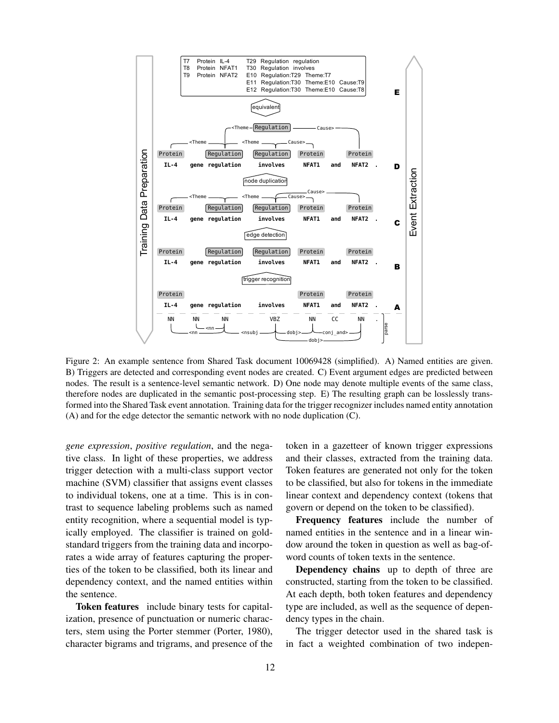

Figure 2: An example sentence from Shared Task document 10069428 (simplified). A) Named entities are given. B) Triggers are detected and corresponding event nodes are created. C) Event argument edges are predicted between nodes. The result is a sentence-level semantic network. D) One node may denote multiple events of the same class, therefore nodes are duplicated in the semantic post-processing step. E) The resulting graph can be losslessly transformed into the Shared Task event annotation. Training data for the trigger recognizer includes named entity annotation (A) and for the edge detector the semantic network with no node duplication (C).

*gene expression*, *positive regulation*, and the negative class. In light of these properties, we address trigger detection with a multi-class support vector machine (SVM) classifier that assigns event classes to individual tokens, one at a time. This is in contrast to sequence labeling problems such as named entity recognition, where a sequential model is typically employed. The classifier is trained on goldstandard triggers from the training data and incorporates a wide array of features capturing the properties of the token to be classified, both its linear and dependency context, and the named entities within the sentence.

Token features include binary tests for capitalization, presence of punctuation or numeric characters, stem using the Porter stemmer (Porter, 1980), character bigrams and trigrams, and presence of the token in a gazetteer of known trigger expressions and their classes, extracted from the training data. Token features are generated not only for the token to be classified, but also for tokens in the immediate linear context and dependency context (tokens that govern or depend on the token to be classified).

Frequency features include the number of named entities in the sentence and in a linear window around the token in question as well as bag-ofword counts of token texts in the sentence.

Dependency chains up to depth of three are constructed, starting from the token to be classified. At each depth, both token features and dependency type are included, as well as the sequence of dependency types in the chain.

The trigger detector used in the shared task is in fact a weighted combination of two indepen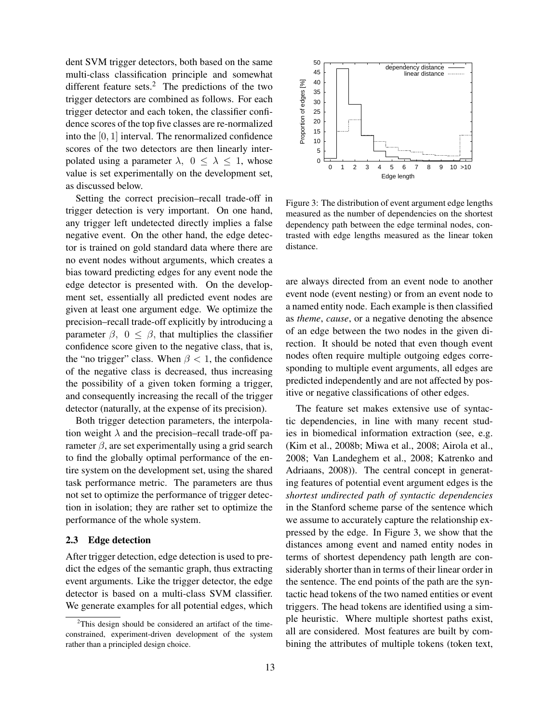dent SVM trigger detectors, both based on the same multi-class classification principle and somewhat different feature sets. $2$  The predictions of the two trigger detectors are combined as follows. For each trigger detector and each token, the classifier confidence scores of the top five classes are re-normalized into the [0, 1] interval. The renormalized confidence scores of the two detectors are then linearly interpolated using a parameter  $\lambda$ ,  $0 \leq \lambda \leq 1$ , whose value is set experimentally on the development set, as discussed below.

Setting the correct precision–recall trade-off in trigger detection is very important. On one hand, any trigger left undetected directly implies a false negative event. On the other hand, the edge detector is trained on gold standard data where there are no event nodes without arguments, which creates a bias toward predicting edges for any event node the edge detector is presented with. On the development set, essentially all predicted event nodes are given at least one argument edge. We optimize the precision–recall trade-off explicitly by introducing a parameter  $\beta$ ,  $0 \leq \beta$ , that multiplies the classifier confidence score given to the negative class, that is, the "no trigger" class. When  $\beta$  < 1, the confidence of the negative class is decreased, thus increasing the possibility of a given token forming a trigger, and consequently increasing the recall of the trigger detector (naturally, at the expense of its precision).

Both trigger detection parameters, the interpolation weight  $\lambda$  and the precision–recall trade-off parameter  $\beta$ , are set experimentally using a grid search to find the globally optimal performance of the entire system on the development set, using the shared task performance metric. The parameters are thus not set to optimize the performance of trigger detection in isolation; they are rather set to optimize the performance of the whole system.

#### 2.3 Edge detection

After trigger detection, edge detection is used to predict the edges of the semantic graph, thus extracting event arguments. Like the trigger detector, the edge detector is based on a multi-class SVM classifier. We generate examples for all potential edges, which



Figure 3: The distribution of event argument edge lengths measured as the number of dependencies on the shortest dependency path between the edge terminal nodes, contrasted with edge lengths measured as the linear token distance.

are always directed from an event node to another event node (event nesting) or from an event node to a named entity node. Each example is then classified as *theme*, *cause*, or a negative denoting the absence of an edge between the two nodes in the given direction. It should be noted that even though event nodes often require multiple outgoing edges corresponding to multiple event arguments, all edges are predicted independently and are not affected by positive or negative classifications of other edges.

The feature set makes extensive use of syntactic dependencies, in line with many recent studies in biomedical information extraction (see, e.g. (Kim et al., 2008b; Miwa et al., 2008; Airola et al., 2008; Van Landeghem et al., 2008; Katrenko and Adriaans, 2008)). The central concept in generating features of potential event argument edges is the *shortest undirected path of syntactic dependencies* in the Stanford scheme parse of the sentence which we assume to accurately capture the relationship expressed by the edge. In Figure 3, we show that the distances among event and named entity nodes in terms of shortest dependency path length are considerably shorter than in terms of their linear order in the sentence. The end points of the path are the syntactic head tokens of the two named entities or event triggers. The head tokens are identified using a simple heuristic. Where multiple shortest paths exist, all are considered. Most features are built by combining the attributes of multiple tokens (token text,

<sup>&</sup>lt;sup>2</sup>This design should be considered an artifact of the timeconstrained, experiment-driven development of the system rather than a principled design choice.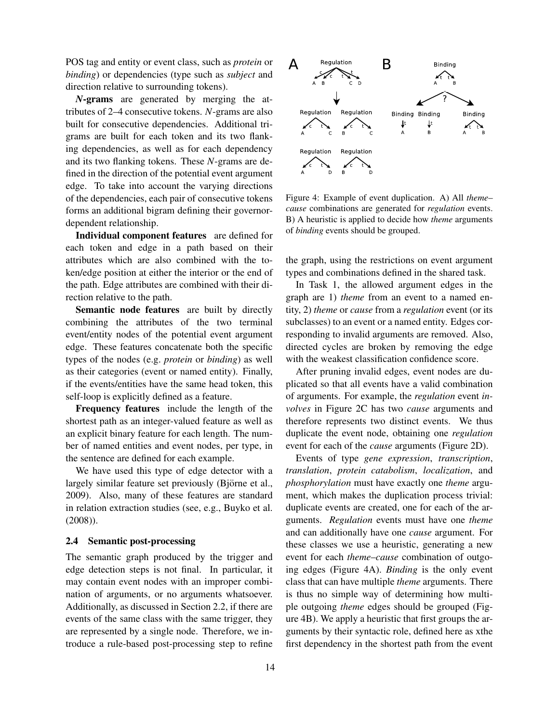POS tag and entity or event class, such as *protein* or *binding*) or dependencies (type such as *subject* and direction relative to surrounding tokens).

*N*-grams are generated by merging the attributes of 2–4 consecutive tokens. *N*-grams are also built for consecutive dependencies. Additional trigrams are built for each token and its two flanking dependencies, as well as for each dependency and its two flanking tokens. These *N*-grams are defined in the direction of the potential event argument edge. To take into account the varying directions of the dependencies, each pair of consecutive tokens forms an additional bigram defining their governordependent relationship.

Individual component features are defined for each token and edge in a path based on their attributes which are also combined with the token/edge position at either the interior or the end of the path. Edge attributes are combined with their direction relative to the path.

Semantic node features are built by directly combining the attributes of the two terminal event/entity nodes of the potential event argument edge. These features concatenate both the specific types of the nodes (e.g. *protein* or *binding*) as well as their categories (event or named entity). Finally, if the events/entities have the same head token, this self-loop is explicitly defined as a feature.

Frequency features include the length of the shortest path as an integer-valued feature as well as an explicit binary feature for each length. The number of named entities and event nodes, per type, in the sentence are defined for each example.

We have used this type of edge detector with a largely similar feature set previously (Björne et al., 2009). Also, many of these features are standard in relation extraction studies (see, e.g., Buyko et al. (2008)).

### 2.4 Semantic post-processing

The semantic graph produced by the trigger and edge detection steps is not final. In particular, it may contain event nodes with an improper combination of arguments, or no arguments whatsoever. Additionally, as discussed in Section 2.2, if there are events of the same class with the same trigger, they are represented by a single node. Therefore, we introduce a rule-based post-processing step to refine



Figure 4: Example of event duplication. A) All *theme*– *cause* combinations are generated for *regulation* events. B) A heuristic is applied to decide how *theme* arguments of *binding* events should be grouped.

the graph, using the restrictions on event argument types and combinations defined in the shared task.

In Task 1, the allowed argument edges in the graph are 1) *theme* from an event to a named entity, 2) *theme* or *cause* from a *regulation* event (or its subclasses) to an event or a named entity. Edges corresponding to invalid arguments are removed. Also, directed cycles are broken by removing the edge with the weakest classification confidence score.

After pruning invalid edges, event nodes are duplicated so that all events have a valid combination of arguments. For example, the *regulation* event *involves* in Figure 2C has two *cause* arguments and therefore represents two distinct events. We thus duplicate the event node, obtaining one *regulation* event for each of the *cause* arguments (Figure 2D).

Events of type *gene expression*, *transcription*, *translation*, *protein catabolism*, *localization*, and *phosphorylation* must have exactly one *theme* argument, which makes the duplication process trivial: duplicate events are created, one for each of the arguments. *Regulation* events must have one *theme* and can additionally have one *cause* argument. For these classes we use a heuristic, generating a new event for each *theme*–*cause* combination of outgoing edges (Figure 4A). *Binding* is the only event class that can have multiple *theme* arguments. There is thus no simple way of determining how multiple outgoing *theme* edges should be grouped (Figure 4B). We apply a heuristic that first groups the arguments by their syntactic role, defined here as xthe first dependency in the shortest path from the event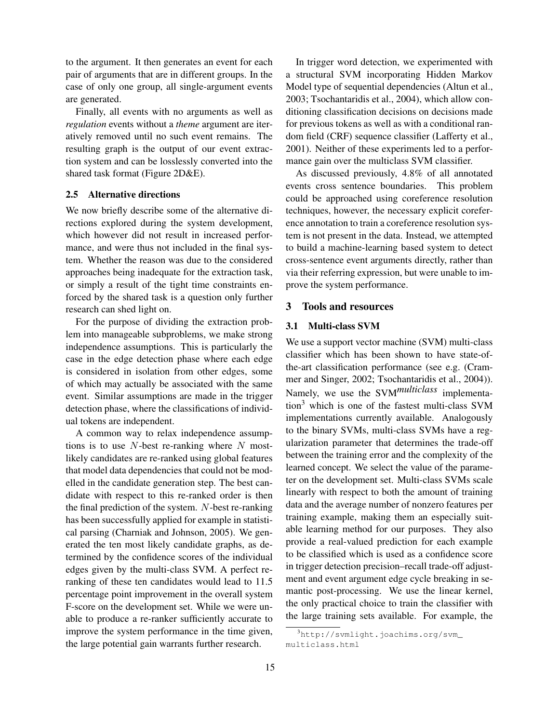to the argument. It then generates an event for each pair of arguments that are in different groups. In the case of only one group, all single-argument events are generated.

Finally, all events with no arguments as well as *regulation* events without a *theme* argument are iteratively removed until no such event remains. The resulting graph is the output of our event extraction system and can be losslessly converted into the shared task format (Figure 2D&E).

#### 2.5 Alternative directions

We now briefly describe some of the alternative directions explored during the system development, which however did not result in increased performance, and were thus not included in the final system. Whether the reason was due to the considered approaches being inadequate for the extraction task, or simply a result of the tight time constraints enforced by the shared task is a question only further research can shed light on.

For the purpose of dividing the extraction problem into manageable subproblems, we make strong independence assumptions. This is particularly the case in the edge detection phase where each edge is considered in isolation from other edges, some of which may actually be associated with the same event. Similar assumptions are made in the trigger detection phase, where the classifications of individual tokens are independent.

A common way to relax independence assumptions is to use  $N$ -best re-ranking where  $N$  mostlikely candidates are re-ranked using global features that model data dependencies that could not be modelled in the candidate generation step. The best candidate with respect to this re-ranked order is then the final prediction of the system. N-best re-ranking has been successfully applied for example in statistical parsing (Charniak and Johnson, 2005). We generated the ten most likely candidate graphs, as determined by the confidence scores of the individual edges given by the multi-class SVM. A perfect reranking of these ten candidates would lead to 11.5 percentage point improvement in the overall system F-score on the development set. While we were unable to produce a re-ranker sufficiently accurate to improve the system performance in the time given, the large potential gain warrants further research.

In trigger word detection, we experimented with a structural SVM incorporating Hidden Markov Model type of sequential dependencies (Altun et al., 2003; Tsochantaridis et al., 2004), which allow conditioning classification decisions on decisions made for previous tokens as well as with a conditional random field (CRF) sequence classifier (Lafferty et al., 2001). Neither of these experiments led to a performance gain over the multiclass SVM classifier.

As discussed previously, 4.8% of all annotated events cross sentence boundaries. This problem could be approached using coreference resolution techniques, however, the necessary explicit coreference annotation to train a coreference resolution system is not present in the data. Instead, we attempted to build a machine-learning based system to detect cross-sentence event arguments directly, rather than via their referring expression, but were unable to improve the system performance.

## 3 Tools and resources

#### 3.1 Multi-class SVM

We use a support vector machine (SVM) multi-class classifier which has been shown to have state-ofthe-art classification performance (see e.g. (Crammer and Singer, 2002; Tsochantaridis et al., 2004)). Namely, we use the SVM*multiclass* implementa- $\text{tion}^3$  which is one of the fastest multi-class SVM implementations currently available. Analogously to the binary SVMs, multi-class SVMs have a regularization parameter that determines the trade-off between the training error and the complexity of the learned concept. We select the value of the parameter on the development set. Multi-class SVMs scale linearly with respect to both the amount of training data and the average number of nonzero features per training example, making them an especially suitable learning method for our purposes. They also provide a real-valued prediction for each example to be classified which is used as a confidence score in trigger detection precision–recall trade-off adjustment and event argument edge cycle breaking in semantic post-processing. We use the linear kernel, the only practical choice to train the classifier with the large training sets available. For example, the

<sup>3</sup>http://svmlight.joachims.org/svm\_ multiclass.html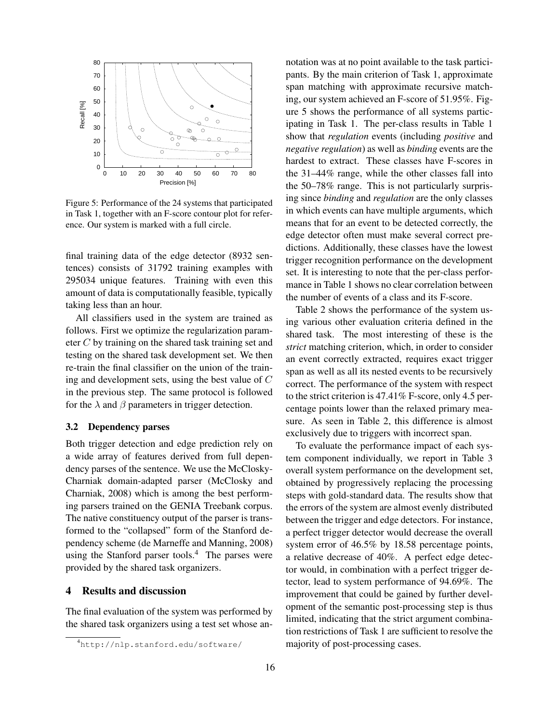

Figure 5: Performance of the 24 systems that participated in Task 1, together with an F-score contour plot for reference. Our system is marked with a full circle.

final training data of the edge detector (8932 sentences) consists of 31792 training examples with 295034 unique features. Training with even this amount of data is computationally feasible, typically taking less than an hour.

All classifiers used in the system are trained as follows. First we optimize the regularization parameter C by training on the shared task training set and testing on the shared task development set. We then re-train the final classifier on the union of the training and development sets, using the best value of C in the previous step. The same protocol is followed for the  $\lambda$  and  $\beta$  parameters in trigger detection.

### 3.2 Dependency parses

Both trigger detection and edge prediction rely on a wide array of features derived from full dependency parses of the sentence. We use the McClosky-Charniak domain-adapted parser (McClosky and Charniak, 2008) which is among the best performing parsers trained on the GENIA Treebank corpus. The native constituency output of the parser is transformed to the "collapsed" form of the Stanford dependency scheme (de Marneffe and Manning, 2008) using the Stanford parser tools.<sup>4</sup> The parses were provided by the shared task organizers.

#### 4 Results and discussion

The final evaluation of the system was performed by the shared task organizers using a test set whose annotation was at no point available to the task participants. By the main criterion of Task 1, approximate span matching with approximate recursive matching, our system achieved an F-score of 51.95%. Figure 5 shows the performance of all systems participating in Task 1. The per-class results in Table 1 show that *regulation* events (including *positive* and *negative regulation*) as well as *binding* events are the hardest to extract. These classes have F-scores in the 31–44% range, while the other classes fall into the 50–78% range. This is not particularly surprising since *binding* and *regulation* are the only classes in which events can have multiple arguments, which means that for an event to be detected correctly, the edge detector often must make several correct predictions. Additionally, these classes have the lowest trigger recognition performance on the development set. It is interesting to note that the per-class performance in Table 1 shows no clear correlation between the number of events of a class and its F-score.

Table 2 shows the performance of the system using various other evaluation criteria defined in the shared task. The most interesting of these is the *strict* matching criterion, which, in order to consider an event correctly extracted, requires exact trigger span as well as all its nested events to be recursively correct. The performance of the system with respect to the strict criterion is 47.41% F-score, only 4.5 percentage points lower than the relaxed primary measure. As seen in Table 2, this difference is almost exclusively due to triggers with incorrect span.

To evaluate the performance impact of each system component individually, we report in Table 3 overall system performance on the development set, obtained by progressively replacing the processing steps with gold-standard data. The results show that the errors of the system are almost evenly distributed between the trigger and edge detectors. For instance, a perfect trigger detector would decrease the overall system error of 46.5% by 18.58 percentage points, a relative decrease of 40%. A perfect edge detector would, in combination with a perfect trigger detector, lead to system performance of 94.69%. The improvement that could be gained by further development of the semantic post-processing step is thus limited, indicating that the strict argument combination restrictions of Task 1 are sufficient to resolve the majority of post-processing cases.

<sup>4</sup>http://nlp.stanford.edu/software/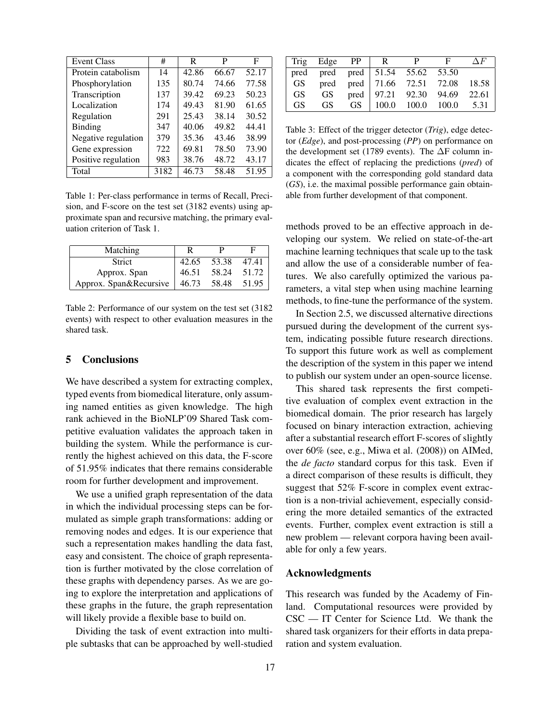| <b>Event Class</b>  | #    | R     | P     | F     |
|---------------------|------|-------|-------|-------|
| Protein catabolism  | 14   | 42.86 | 66.67 | 52.17 |
| Phosphorylation     | 135  | 80.74 | 74.66 | 77.58 |
| Transcription       | 137  | 39.42 | 69.23 | 50.23 |
| Localization        | 174  | 49.43 | 81.90 | 61.65 |
| Regulation          | 291  | 25.43 | 38.14 | 30.52 |
| <b>Binding</b>      | 347  | 40.06 | 49.82 | 44.41 |
| Negative regulation | 379  | 35.36 | 43.46 | 38.99 |
| Gene expression     | 722  | 69.81 | 78.50 | 73.90 |
| Positive regulation | 983  | 38.76 | 48.72 | 43.17 |
| Total               | 3182 | 46.73 | 58.48 | 51.95 |

Table 1: Per-class performance in terms of Recall, Precision, and F-score on the test set (3182 events) using approximate span and recursive matching, the primary evaluation criterion of Task 1.

| Matching               | R     |       | F     |
|------------------------|-------|-------|-------|
| <b>Strict</b>          | 42.65 | 53.38 | 47.41 |
| Approx. Span           | 46.51 | 58.24 | 51.72 |
| Approx. Span&Recursive | 46.73 | 58.48 | 51.95 |

Table 2: Performance of our system on the test set (3182 events) with respect to other evaluation measures in the shared task.

#### 5 Conclusions

We have described a system for extracting complex, typed events from biomedical literature, only assuming named entities as given knowledge. The high rank achieved in the BioNLP'09 Shared Task competitive evaluation validates the approach taken in building the system. While the performance is currently the highest achieved on this data, the F-score of 51.95% indicates that there remains considerable room for further development and improvement.

We use a unified graph representation of the data in which the individual processing steps can be formulated as simple graph transformations: adding or removing nodes and edges. It is our experience that such a representation makes handling the data fast, easy and consistent. The choice of graph representation is further motivated by the close correlation of these graphs with dependency parses. As we are going to explore the interpretation and applications of these graphs in the future, the graph representation will likely provide a flexible base to build on.

Dividing the task of event extraction into multiple subtasks that can be approached by well-studied

|      | Trig Edge PP $\mid$ R |      | P                                      | $\mathbf{F}$ | ΛF |
|------|-----------------------|------|----------------------------------------|--------------|----|
|      |                       |      | pred pred pred   51.54 55.62 53.50     |              |    |
| GS – |                       |      | pred pred 71.66 72.51 72.08 18.58      |              |    |
| GS – | GS                    |      | pred   $97.21$ $92.30$ $94.69$ $22.61$ |              |    |
| GS.  | GS -                  | GS — | $100.0$ 100.0 100.0 5.31               |              |    |

Table 3: Effect of the trigger detector (*Trig*), edge detector (*Edge*), and post-processing (*PP*) on performance on the development set (1789 events). The  $\Delta F$  column indicates the effect of replacing the predictions (*pred*) of a component with the corresponding gold standard data (*GS*), i.e. the maximal possible performance gain obtainable from further development of that component.

methods proved to be an effective approach in developing our system. We relied on state-of-the-art machine learning techniques that scale up to the task and allow the use of a considerable number of features. We also carefully optimized the various parameters, a vital step when using machine learning methods, to fine-tune the performance of the system.

In Section 2.5, we discussed alternative directions pursued during the development of the current system, indicating possible future research directions. To support this future work as well as complement the description of the system in this paper we intend to publish our system under an open-source license.

This shared task represents the first competitive evaluation of complex event extraction in the biomedical domain. The prior research has largely focused on binary interaction extraction, achieving after a substantial research effort F-scores of slightly over 60% (see, e.g., Miwa et al. (2008)) on AIMed, the *de facto* standard corpus for this task. Even if a direct comparison of these results is difficult, they suggest that 52% F-score in complex event extraction is a non-trivial achievement, especially considering the more detailed semantics of the extracted events. Further, complex event extraction is still a new problem — relevant corpora having been available for only a few years.

### Acknowledgments

This research was funded by the Academy of Finland. Computational resources were provided by CSC — IT Center for Science Ltd. We thank the shared task organizers for their efforts in data preparation and system evaluation.